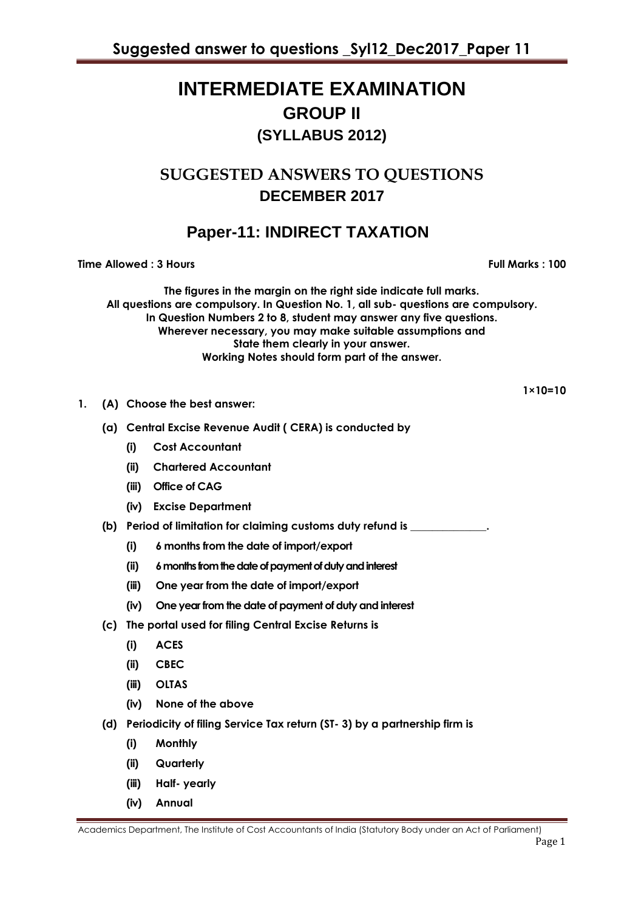# **INTERMEDIATE EXAMINATION GROUP II (SYLLABUS 2012)**

# **SUGGESTED ANSWERS TO QUESTIONS DECEMBER 2017**

# **Paper-11: INDIRECT TAXATION**

**Time Allowed : 3 Hours Full Marks : 100** 

**The figures in the margin on the right side indicate full marks. All questions are compulsory. In Question No. 1, all sub- questions are compulsory. In Question Numbers 2 to 8, student may answer any five questions. Wherever necessary, you may make suitable assumptions and State them clearly in your answer. Working Notes should form part of the answer.** 

 **1×10=10**

- **1. (A) Choose the best answer:**
	- **(a) Central Excise Revenue Audit ( CERA) is conducted by** 
		- **(i) Cost Accountant**
		- **(ii) Chartered Accountant**
		- **(iii) Office of CAG**
		- **(iv) Excise Department**
	- **(b) Period of limitation for claiming customs duty refund is \_\_\_\_\_\_\_\_\_\_\_\_\_\_.**
		- **(i) 6 months from the date of import/export**
		- **(ii) 6 months from the date of payment of duty and interest**
		- **(iii) One year from the date of import/export**
		- **(iv) One year from the date of payment of duty and interest**
	- **(c) The portal used for filing Central Excise Returns is** 
		- **(i) ACES**
		- **(ii) CBEC**
		- **(iii) OLTAS**
		- **(iv) None of the above**
	- **(d) Periodicity of filing Service Tax return (ST- 3) by a partnership firm is** 
		- **(i) Monthly**
		- **(ii) Quarterly**
		- **(iii) Half- yearly**
		- **(iv) Annual**

Academics Department, The Institute of Cost Accountants of India (Statutory Body under an Act of Parliament)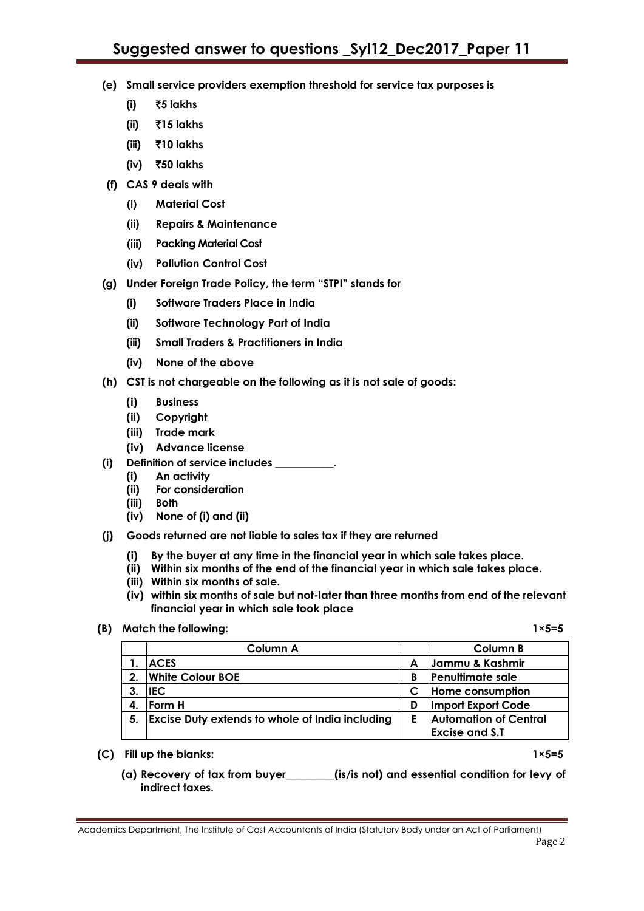- **(e) Small service providers exemption threshold for service tax purposes is** 
	- **(i)** `**5 lakhs**
	- **(ii)** `**15 lakhs**
	- **(iii)** `**10 lakhs**
	- **(iv)** `**50 lakhs**
- **(f) CAS 9 deals with** 
	- (i) **Material Cost**
	- (ii) **Repairs & Maintenance**
	- (iii) **Packing Material Cost**
	- (iv) **Pollution Control Cost**
- **(g) Under Foreign Trade Policy, the term "STPI" stands for** 
	- **(i) Software Traders Place in India**
	- **(ii) Software Technology Part of India**
	- **(iii) Small Traders & Practitioners in India**
	- **(iv) None of the above**
- **(h) CST is not chargeable on the following as it is not sale of goods:** 
	- **(i) Business**
	- **(ii) Copyright**
	- **(iii) Trade mark**
	- **(iv) Advance license**
- **(i) Definition of service includes \_\_\_\_\_\_\_\_\_\_\_.**
	- **(i) An activity**
	- **(ii) For consideration**
	- **(iii) Both**
	- **(iv) None of (i) and (ii)**
- **(j) Goods returned are not liable to sales tax if they are returned** 
	- **(i) By the buyer at any time in the financial year in which sale takes place.**
	- **(ii) Within six months of the end of the financial year in which sale takes place.**
	- **(iii) Within six months of sale.**
	- **(iv) within six months of sale but not-later than three months from end of the relevant financial year in which sale took place**
- **(B) Match the following: 1×5=5**

|    | Column A                                               |   | Column B                     |
|----|--------------------------------------------------------|---|------------------------------|
|    | <b>ACES</b>                                            | A | Jammu & Kashmir              |
|    | 2. White Colour BOE                                    | В | <b>Penultimate sale</b>      |
|    | <b>IEC</b>                                             |   | Home consumption             |
| 4. | Form H                                                 | D | Import Export Code           |
| 5. | <b>Excise Duty extends to whole of India including</b> | Е | <b>Automation of Central</b> |
|    |                                                        |   | <b>Excise and S.T</b>        |

**(C) Fill up the blanks: 1×5=5**

**(a) Recovery of tax from buyer\_\_\_\_\_\_\_\_\_(is/is not) and essential condition for levy of indirect taxes.**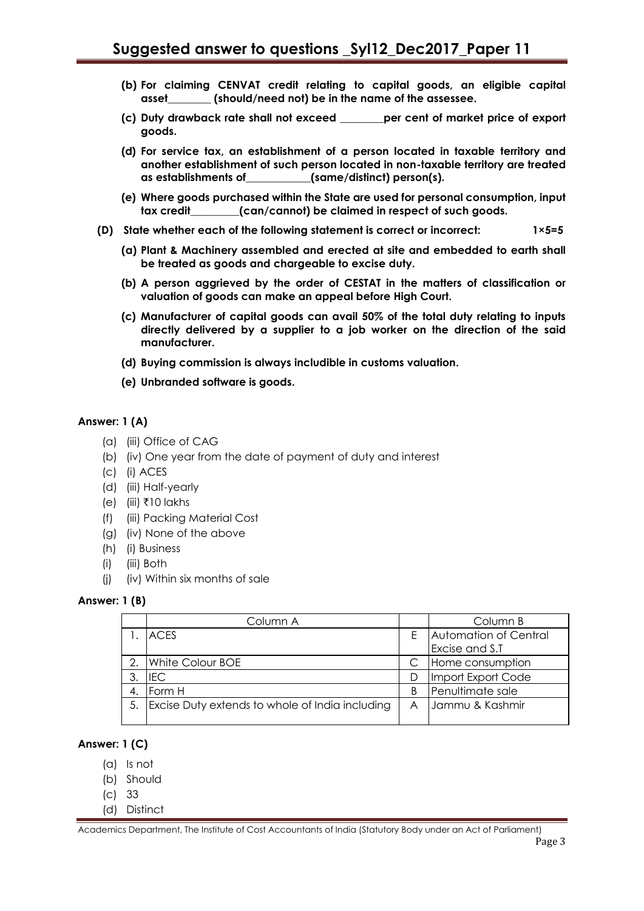- **(b) For claiming CENVAT credit relating to capital goods, an eligible capital asset\_\_\_\_\_\_\_\_ (should/need not) be in the name of the assessee.**
- **(c) Duty drawback rate shall not exceed \_\_\_\_\_\_\_\_per cent of market price of export goods.**
- **(d) For service tax, an establishment of a person located in taxable territory and another establishment of such person located in non-taxable territory are treated as establishments of\_\_\_\_\_\_\_\_\_\_\_\_(same/distinct) person(s).**
- **(e) Where goods purchased within the State are used for personal consumption, input tax credit\_\_\_\_\_\_\_\_\_(can/cannot) be claimed in respect of such goods.**
- **(D) State whether each of the following statement is correct or incorrect: 1×5=5**
	- **(a) Plant & Machinery assembled and erected at site and embedded to earth shall be treated as goods and chargeable to excise duty.**
	- **(b) A person aggrieved by the order of CESTAT in the matters of classification or valuation of goods can make an appeal before High Court.**
	- **(c) Manufacturer of capital goods can avail 50% of the total duty relating to inputs directly delivered by a supplier to a job worker on the direction of the said manufacturer.**
	- **(d) Buying commission is always includible in customs valuation.**
	- **(e) Unbranded software is goods.**

## **Answer: 1 (A)**

- (a) (iii) Office of CAG
- (b) (iv) One year from the date of payment of duty and interest
- (c) (i) ACES
- (d) (iii) Half-yearly
- (e) (iii)  $\bar{x}$ 10 lakhs
- (f) (iii) Packing Material Cost
- (g) (iv) None of the above
- (h) (i) Business
- (i) (iii) Both
- (j) (iv) Within six months of sale

#### **Answer: 1 (B)**

|    | Column A                                        |   | Column B              |
|----|-------------------------------------------------|---|-----------------------|
|    | <b>ACES</b>                                     |   | Automation of Central |
|    |                                                 |   | Excise and S.T        |
|    | White Colour BOE                                |   | Home consumption      |
|    | <b>IEC</b>                                      |   | Import Export Code    |
| 4. | Form H                                          |   | Penultimate sale      |
|    | Excise Duty extends to whole of India including | A | Jammu & Kashmir       |

## **Answer: 1 (C)**

- (a) Is not
- (b) Should
- (c) 33
- (d) Distinct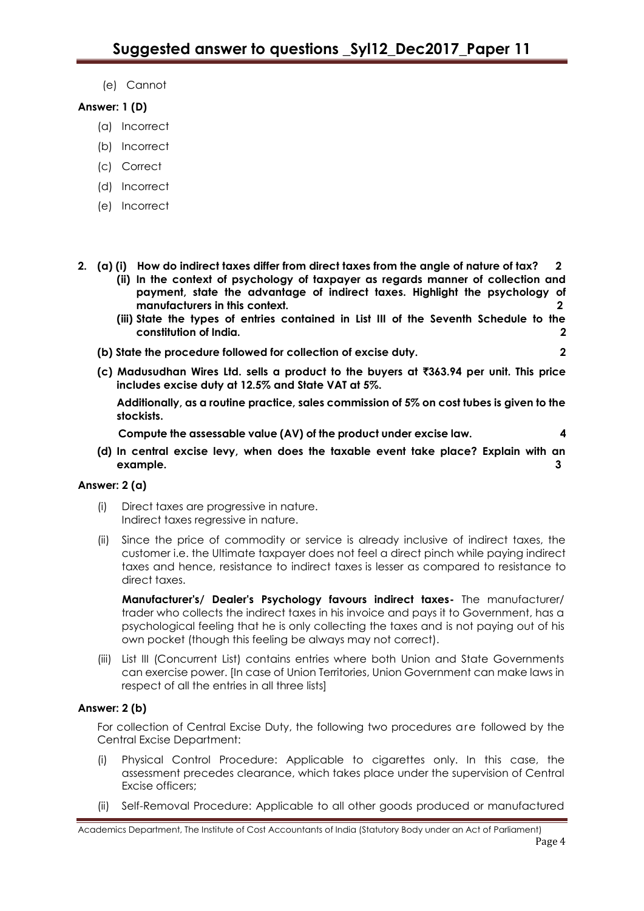(e) Cannot

# **Answer: 1 (D)**

- (a) Incorrect
- (b) Incorrect
- (c) Correct
- (d) Incorrect
- (e) Incorrect
- **2. (a) (i) How do indirect taxes differ from direct taxes from the angle of nature of tax? 2**
	- **(ii) In the context of psychology of taxpayer as regards manner of collection and payment, state the advantage of indirect taxes. Highlight the psychology of manufacturers in this context. 2**
		- **(iii) State the types of entries contained in List III of the Seventh Schedule to the constitution of India. 2**
	- **(b) State the procedure followed for collection of excise duty. 2**
		-
	- **(c) Madusudhan Wires Ltd. sells a product to the buyers at** `**363.94 per unit. This price includes excise duty at 12.5% and State VAT at 5%.**

**Additionally, as a routine practice, sales commission of 5% on cost tubes is given to the stockists.**

 **Compute the assessable value (AV) of the product under excise law. 4**

**(d) In central excise levy, when does the taxable event take place? Explain with an example. 3** 

# **Answer: 2 (a)**

- (i) Direct taxes are progressive in nature. Indirect taxes regressive in nature.
- (ii) Since the price of commodity or service is already inclusive of indirect taxes, the customer i.e. the Ultimate taxpayer does not feel a direct pinch while paying indirect taxes and hence, resistance to indirect taxes is lesser as compared to resistance to direct taxes.

**Manufacturer's/ Dealer's Psychology favours indirect taxes-** The manufacturer/ trader who collects the indirect taxes in his invoice and pays it to Government, has a psychological feeling that he is only collecting the taxes and is not paying out of his own pocket (though this feeling be always may not correct).

(iii) List III (Concurrent List) contains entries where both Union and State Governments can exercise power. [In case of Union Territories, Union Government can make laws in respect of all the entries in all three lists]

# **Answer: 2 (b)**

For collection of Central Excise Duty, the following two procedures are followed by the Central Excise Department:

- (i) Physical Control Procedure: Applicable to cigarettes only. In this case, the assessment precedes clearance, which takes place under the supervision of Central Excise officers;
- (ii) Self-Removal Procedure: Applicable to all other goods produced or manufactured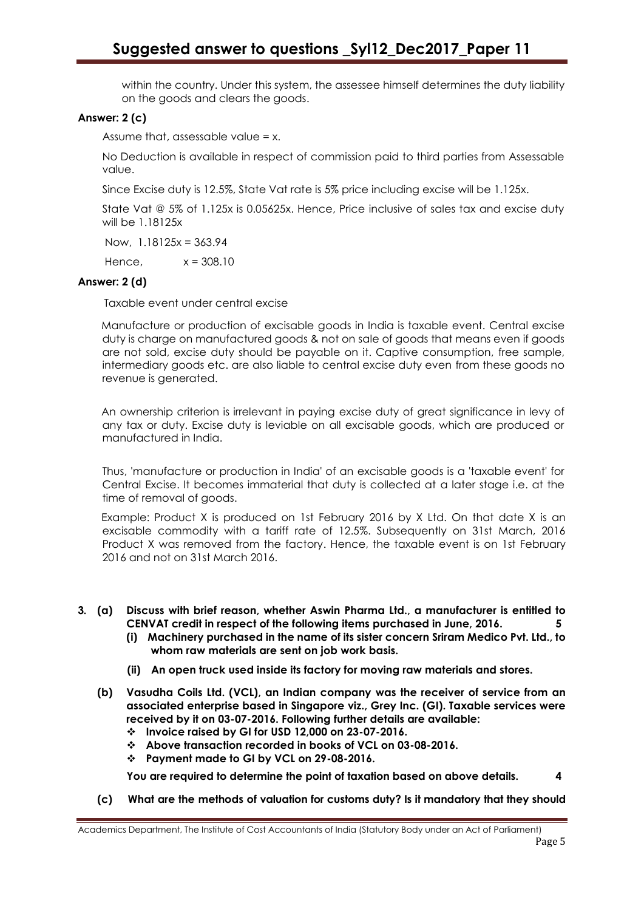within the country. Under this system, the assessee himself determines the duty liability on the goods and clears the goods.

# **Answer: 2 (c)**

Assume that, assessable value = x.

No Deduction is available in respect of commission paid to third parties from Assessable value.

Since Excise duty is 12.5%, State Vat rate is 5% price including excise will be 1.125x.

State Vat @ 5% of 1.125x is 0.05625x. Hence, Price inclusive of sales tax and excise duty will be 1.18125x

Now, 1.18125x = 363.94

Hence,  $x = 308.10$ 

# **Answer: 2 (d)**

Taxable event under central excise

Manufacture or production of excisable goods in India is taxable event. Central excise duty is charge on manufactured goods & not on sale of goods that means even if goods are not sold, excise duty should be payable on it. Captive consumption, free sample, intermediary goods etc. are also liable to central excise duty even from these goods no revenue is generated.

An ownership criterion is irrelevant in paying excise duty of great significance in levy of any tax or duty. Excise duty is leviable on all excisable goods, which are produced or manufactured in India.

Thus, 'manufacture or production in India' of an excisable goods is a 'taxable event' for Central Excise. It becomes immaterial that duty is collected at a later stage i.e. at the time of removal of goods.

Example: Product X is produced on 1st February 2016 by X Ltd. On that date X is an excisable commodity with a tariff rate of 12.5%. Subsequently on 31st March, 2016 Product X was removed from the factory. Hence, the taxable event is on 1st February 2016 and not on 31st March 2016.

- **3. (a) Discuss with brief reason, whether Aswin Pharma Ltd., a manufacturer is entitled to CENVAT credit in respect of the following items purchased in June, 2016. 5**
	- **(i) Machinery purchased in the name of its sister concern Sriram Medico Pvt. Ltd., to whom raw materials are sent on job work basis.**
	- **(ii) An open truck used inside its factory for moving raw materials and stores.**
	- **(b) Vasudha Coils Ltd. (VCL), an Indian company was the receiver of service from an associated enterprise based in Singapore viz., Grey Inc. (GI). Taxable services were received by it on 03-07-2016. Following further details are available:**
		- **Invoice raised by GI for USD 12,000 on 23-07-2016.**
		- **Above transaction recorded in books of VCL on 03-08-2016.**
		- **Payment made to GI by VCL on 29-08-2016.**

**You are required to determine the point of taxation based on above details. 4**

**(c) What are the methods of valuation for customs duty? Is it mandatory that they should**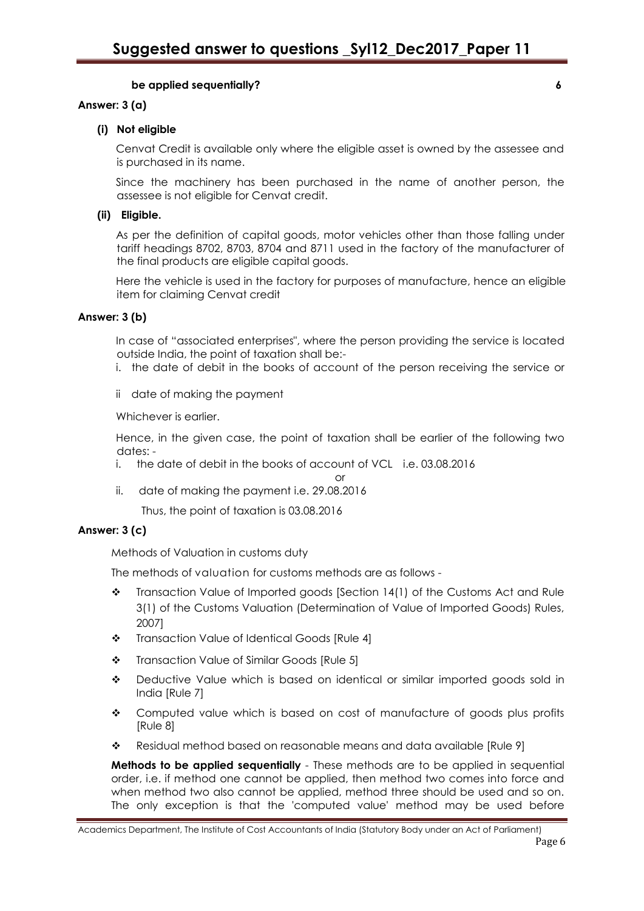## **be applied sequentially? 6**

## **Answer: 3 (a)**

## **(i) Not eligible**

Cenvat Credit is available only where the eligible asset is owned by the assessee and is purchased in its name.

Since the machinery has been purchased in the name of another person, the assessee is not eligible for Cenvat credit.

## **(ii) Eligible.**

As per the definition of capital goods, motor vehicles other than those falling under tariff headings 8702, 8703, 8704 and 8711 used in the factory of the manufacturer of the final products are eligible capital goods.

Here the vehicle is used in the factory for purposes of manufacture, hence an eligible item for claiming Cenvat credit

## **Answer: 3 (b)**

In case of "associated enterprises", where the person providing the service is located outside India, the point of taxation shall be:-

- i. the date of debit in the books of account of the person receiving the service or
- ii date of making the payment

Whichever is earlier.

Hence, in the given case, the point of taxation shall be earlier of the following two dates: -

- i. the date of debit in the books of account of VCL i.e. 03.08.2016
- or ii. date of making the payment i.e. 29.08.2016

Thus, the point of taxation is 03.08.2016

## **Answer: 3 (c)**

Methods of Valuation in customs duty

The methods of valuation for customs methods are as follows -

- \* Transaction Value of Imported goods [Section 14(1) of the Customs Act and Rule 3(1) of the Customs Valuation (Determination of Value of Imported Goods) Rules, 2007]
- Transaction Value of Identical Goods [Rule 4]
- Transaction Value of Similar Goods [Rule 5]
- Deductive Value which is based on identical or similar imported goods sold in India [Rule 7]
- Computed value which is based on cost of manufacture of goods plus profits [Rule 8]
- \* Residual method based on reasonable means and data available [Rule 9]

**Methods to be applied sequentially** - These methods are to be applied in sequential order, i.e. if method one cannot be applied, then method two comes into force and when method two also cannot be applied, method three should be used and so on. The only exception is that the 'computed value' method may be used before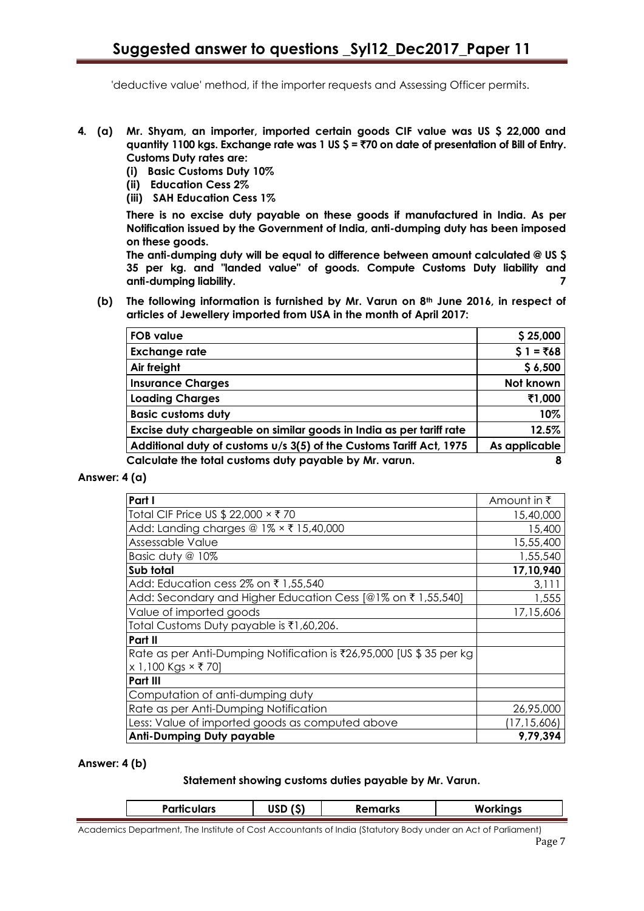'deductive value' method, if the importer requests and Assessing Officer permits.

- **4. (a) Mr. Shyam, an importer, imported certain goods CIF value was US \$ 22,000 and quantity 1100 kgs. Exchange rate was 1 US \$ =** `**70 on date of presentation of Bill of Entry. Customs Duty rates are:**
	- **(i) Basic Customs Duty 10%**
	- **(ii) Education Cess 2%**
	- **(iii) SAH Education Cess 1%**

**There is no excise duty payable on these goods if manufactured in India. As per Notification issued by the Government of India, anti-dumping duty has been imposed on these goods.**

**The anti-dumping duty will be equal to difference between amount calculated @ US \$ 35 per kg. and "landed value" of goods. Compute Customs Duty liability and anti-dumping liability. 7**

**(b) The following information is furnished by Mr. Varun on 8th June 2016, in respect of articles of Jewellery imported from USA in the month of April 2017:**

| <b>FOB value</b>                                                    | \$25,000      |
|---------------------------------------------------------------------|---------------|
| <b>Exchange rate</b>                                                | $$1 = ₹68$    |
| Air freight                                                         | \$6,500       |
| <b>Insurance Charges</b>                                            | Not known     |
| <b>Loading Charges</b>                                              | ₹1,000        |
| <b>Basic customs duty</b>                                           | 10%           |
| Excise duty chargeable on similar goods in India as per tariff rate | 12.5%         |
| Additional duty of customs u/s 3(5) of the Customs Tariff Act, 1975 | As applicable |
| Calculate the total customs duty payable by Mr. varun.              | 8             |

## **Answer: 4 (a)**

| Part I                                                               | Amount in ₹   |
|----------------------------------------------------------------------|---------------|
| Total CIF Price US \$ 22,000 × ₹ 70                                  | 15,40,000     |
| Add: Landing charges @ 1% × ₹ 15,40,000                              | 15,400        |
| Assessable Value                                                     | 15,55,400     |
| Basic duty @ 10%                                                     | 1,55,540      |
| Sub total                                                            | 17,10,940     |
| Add: Education cess 2% on ₹1,55,540                                  | 3,111         |
| Add: Secondary and Higher Education Cess [@1% on ₹1,55,540]          | 1,555         |
| Value of imported goods                                              | 17,15,606     |
| Total Customs Duty payable is ₹1,60,206.                             |               |
| Part II                                                              |               |
| Rate as per Anti-Dumping Notification is ₹26,95,000 [US \$ 35 per kg |               |
| $x 1,100$ Kgs $\times$ ₹ 70]                                         |               |
| Part III                                                             |               |
| Computation of anti-dumping duty                                     |               |
| Rate as per Anti-Dumping Notification                                | 26,95,000     |
| Less: Value of imported goods as computed above                      | (17, 15, 606) |
| <b>Anti-Dumping Duty payable</b>                                     | 9,79,394      |

#### **Answer: 4 (b)**

#### **Statement showing customs duties payable by Mr. Varun.**

|  |  | <b>Particulars</b> | $\overline{\phantom{a}}$<br> | <b>Remarks</b> | W<br>-110.000<br>- |
|--|--|--------------------|------------------------------|----------------|--------------------|
|--|--|--------------------|------------------------------|----------------|--------------------|

Academics Department, The Institute of Cost Accountants of India (Statutory Body under an Act of Parliament)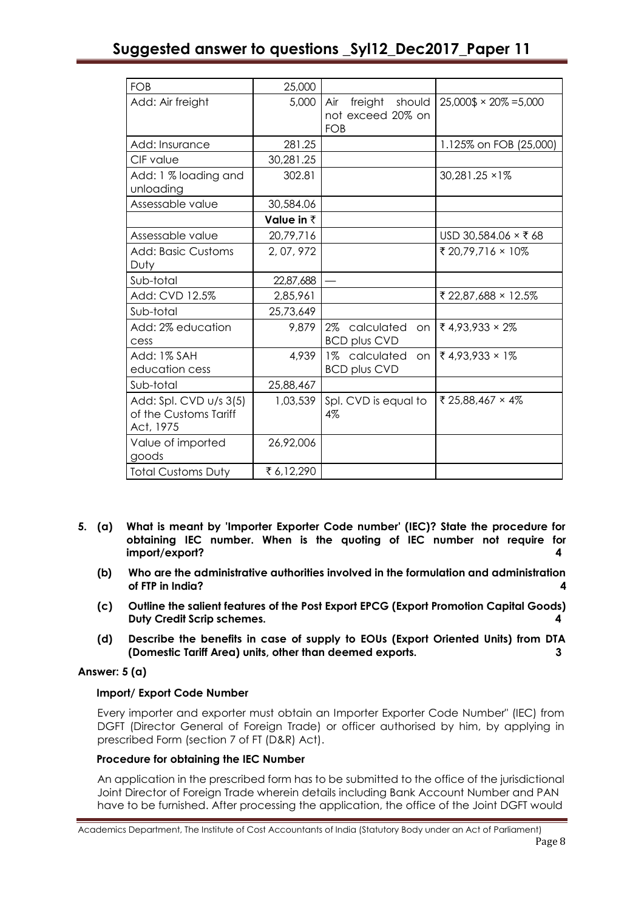| FOB                                                          | 25,000     |                                            |                                                         |
|--------------------------------------------------------------|------------|--------------------------------------------|---------------------------------------------------------|
| Add: Air freight                                             | 5,000      | Air<br>not exceed 20% on<br>FOB            | freight should $ 25,000\frac{1}{2} \times 20\% = 5,000$ |
| Add: Insurance                                               | 281.25     |                                            | 1.125% on FOB (25,000)                                  |
| CIF value                                                    | 30,281.25  |                                            |                                                         |
| Add: 1 % loading and<br>unloading                            | 302.81     |                                            | 30,281.25 × 1%                                          |
| Assessable value                                             | 30,584.06  |                                            |                                                         |
|                                                              | Value in ₹ |                                            |                                                         |
| Assessable value                                             | 20,79,716  |                                            | USD 30,584.06 × ₹68                                     |
| Add: Basic Customs<br>Duty                                   | 2, 07, 972 |                                            | ₹ 20,79,716 × 10%                                       |
| Sub-total                                                    | 22,87,688  |                                            |                                                         |
| Add: CVD 12.5%                                               | 2,85,961   |                                            | ₹ 22,87,688 × 12.5%                                     |
| Sub-total                                                    | 25,73,649  |                                            |                                                         |
| Add: 2% education<br>cess                                    | 9,879      | 2% calculated<br><b>BCD plus CVD</b>       | on $\sqrt{3}$ 4,93,933 × 2%                             |
| Add: 1% SAH<br>education cess                                | 4,939      | 1% calculated<br>on<br><b>BCD plus CVD</b> | ₹4,93,933 × 1%                                          |
| Sub-total                                                    | 25,88,467  |                                            |                                                         |
| Add: Spl. CVD u/s 3(5)<br>of the Customs Tariff<br>Act, 1975 | 1,03,539   | Spl. CVD is equal to<br>4%                 | ₹ 25,88,467 × 4%                                        |
| Value of imported<br>goods                                   | 26,92,006  |                                            |                                                         |
| <b>Total Customs Duty</b>                                    | ₹6,12,290  |                                            |                                                         |

- **5. (a) What is meant by 'Importer Exporter Code number' (IEC)? State the procedure for obtaining IEC number. When is the quoting of IEC number not require for import/export? 4**
	- **(b) Who are the administrative authorities involved in the formulation and administration of FTP in India? 4**
	- **(c) Outline the salient features of the Post Export EPCG (Export Promotion Capital Goods) Duty Credit Scrip schemes. 4**
	- **(d) Describe the benefits in case of supply to EOUs (Export Oriented Units) from DTA (Domestic Tariff Area) units, other than deemed exports. 3**

# **Answer: 5 (a)**

# **Import/ Export Code Number**

Every importer and exporter must obtain an Importer Exporter Code Number" (IEC) from DGFT (Director General of Foreign Trade) or officer authorised by him, by applying in prescribed Form (section 7 of FT (D&R) Act).

# **Procedure for obtaining the IEC Number**

An application in the prescribed form has to be submitted to the office of the jurisdictional Joint Director of Foreign Trade wherein details including Bank Account Number and PAN have to be furnished. After processing the application, the office of the Joint DGFT would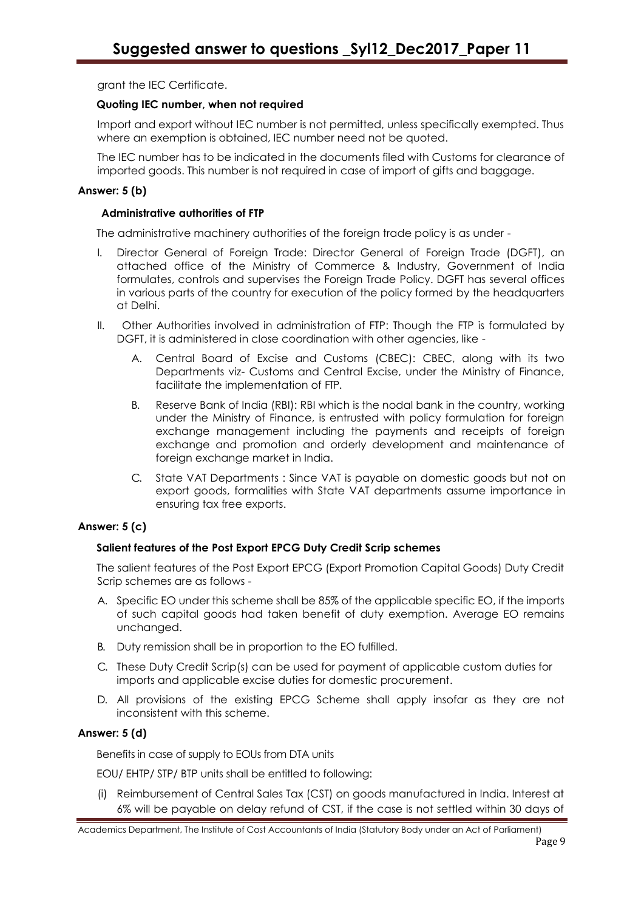grant the IEC Certificate.

## **Quoting IEC number, when not required**

Import and export without IEC number is not permitted, unless specifically exempted. Thus where an exemption is obtained, IEC number need not be quoted.

The IEC number has to be indicated in the documents filed with Customs for clearance of imported goods. This number is not required in case of import of gifts and baggage.

## **Answer: 5 (b)**

## **Administrative authorities of FTP**

The administrative machinery authorities of the foreign trade policy is as under -

- I. Director General of Foreign Trade: Director General of Foreign Trade (DGFT), an attached office of the Ministry of Commerce & Industry, Government of India formulates, controls and supervises the Foreign Trade Policy. DGFT has several offices in various parts of the country for execution of the policy formed by the headquarters at Delhi.
- II. Other Authorities involved in administration of FTP: Though the FTP is formulated by DGFT, it is administered in close coordination with other agencies, like -
	- A. Central Board of Excise and Customs (CBEC): CBEC, along with its two Departments viz- Customs and Central Excise, under the Ministry of Finance, facilitate the implementation of FIP.
	- B. Reserve Bank of India (RBI): RBI which is the nodal bank in the country, working under the Ministry of Finance, is entrusted with policy formulation for foreign exchange management including the payments and receipts of foreign exchange and promotion and orderly development and maintenance of foreign exchange market in India.
	- C. State VAT Departments : Since VAT is payable on domestic goods but not on export goods, formalities with State VAT departments assume importance in ensuring tax free exports.

# **Answer: 5 (c)**

# **Salient features of the Post Export EPCG Duty Credit Scrip schemes**

The salient features of the Post Export EPCG (Export Promotion Capital Goods) Duty Credit Scrip schemes are as follows -

- A. Specific EO under this scheme shall be 85% of the applicable specific EO, if the imports of such capital goods had taken benefit of duty exemption. Average EO remains unchanged.
- B. Duty remission shall be in proportion to the EO fulfilled.
- C. These Duty Credit Scrip(s) can be used for payment of applicable custom duties for imports and applicable excise duties for domestic procurement.
- D. All provisions of the existing EPCG Scheme shall apply insofar as they are not inconsistent with this scheme.

# **Answer: 5 (d)**

Benefits in case of supply to EOUs from DTA units

EOU/ EHTP/ STP/ BTP units shall be entitled to following:

(i) Reimbursement of Central Sales Tax (CST) on goods manufactured in India. Interest at 6% will be payable on delay refund of CST, if the case is not settled within 30 days of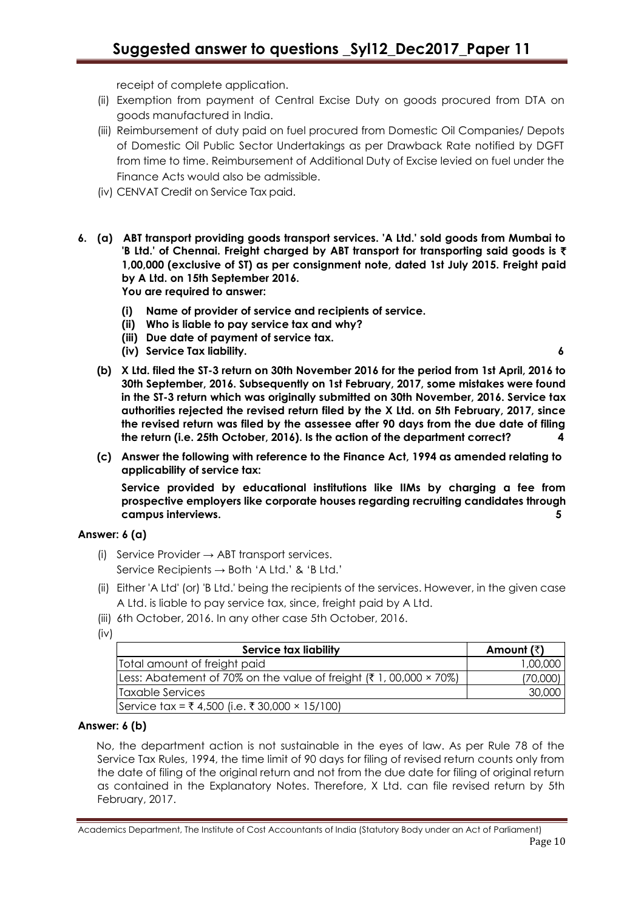receipt of complete application.

- (ii) Exemption from payment of Central Excise Duty on goods procured from DTA on goods manufactured in India.
- (iii) Reimbursement of duty paid on fuel procured from Domestic Oil Companies/ Depots of Domestic Oil Public Sector Undertakings as per Drawback Rate notified by DGFT from time to time. Reimbursement of Additional Duty of Excise levied on fuel under the Finance Acts would also be admissible.
- (iv) CENVAT Credit on Service Tax paid.
- **6. (a) ABT transport providing goods transport services. 'A Ltd.' sold goods from Mumbai to 'B Ltd.' of Chennai. Freight charged by ABT transport for transporting said goods is** ` **1,00,000 (exclusive of ST) as per consignment note, dated 1st July 2015. Freight paid by A Ltd. on 15th September 2016. You are required to answer:**
	- **(i) Name of provider of service and recipients of service.**
	- **(ii) Who is liable to pay service tax and why?**
	- **(iii) Due date of payment of service tax.**
	- **(iv) Service Tax liability. 6**

- **(b) X Ltd. filed the ST-3 return on 30th November 2016 for the period from 1st April, 2016 to 30th September, 2016. Subsequently on 1st February, 2017, some mistakes were found in the ST-3 return which was originally submitted on 30th November, 2016. Service tax authorities rejected the revised return filed by the X Ltd. on 5th February, 2017, since the revised return was filed by the assessee after 90 days from the due date of filing the return (i.e. 25th October, 2016). Is the action of the department correct? 4**
- **(c) Answer the following with reference to the Finance Act, 1994 as amended relating to applicability of service tax:**

**Service provided by educational institutions like IIMs by charging a fee from prospective employers like corporate houses regarding recruiting candidates through campus interviews. 5** 

# **Answer: 6 (a)**

- (i) Service Provider  $\rightarrow$  ABT transport services. Service Recipients → Both 'A Ltd.' & 'B Ltd.'
- (ii) Either 'A Ltd' (or) 'B Ltd.' being the recipients of the services. However, in the given case A Ltd. is liable to pay service tax, since, freight paid by A Ltd.
- (iii) 6th October, 2016. In any other case 5th October, 2016.
- (iv)

| <b>Service tax liability</b>                                             | Amount (₹) |
|--------------------------------------------------------------------------|------------|
| Total amount of freight paid                                             | 1,00,000   |
| Less: Abatement of 70% on the value of freight $(71, 00,000 \times 70%)$ | (70,000)   |
| <b>ITaxable Services</b>                                                 | 30,000     |
| Service tax = ₹ 4,500 (i.e. ₹ 30,000 × 15/100)                           |            |

# **Answer: 6 (b)**

No, the department action is not sustainable in the eyes of law. As per Rule 78 of the Service Tax Rules, 1994, the time limit of 90 days for filing of revised return counts only from the date of filing of the original return and not from the due date for filing of original return as contained in the Explanatory Notes. Therefore, X Ltd. can file revised return by 5th February, 2017.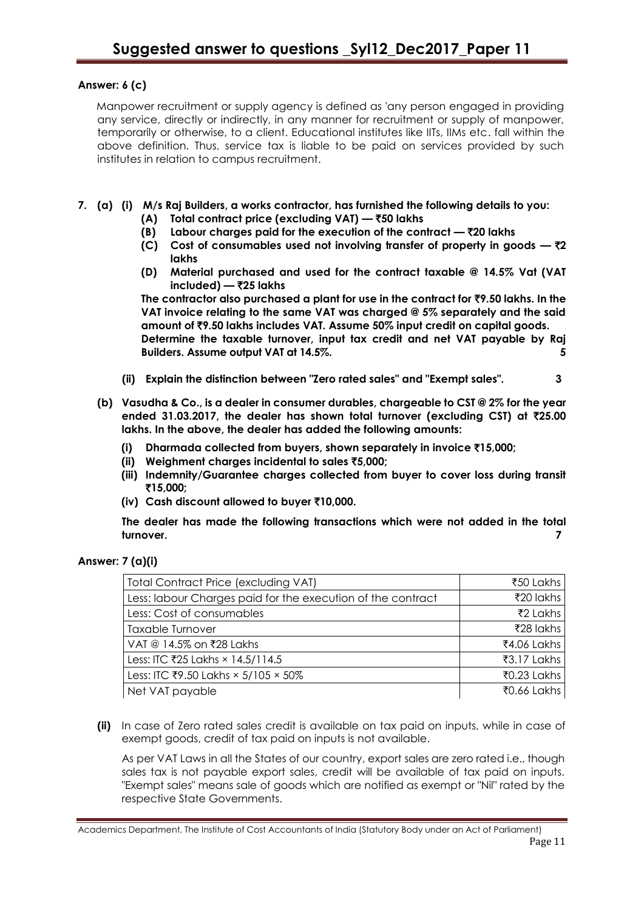# **Answer: 6 (c)**

Manpower recruitment or supply agency is defined as 'any person engaged in providing any service, directly or indirectly, in any manner for recruitment or supply of manpower, temporarily or otherwise, to a client. Educational institutes like IITs, IIMs etc. fall within the above definition. Thus, service tax is liable to be paid on services provided by such institutes in relation to campus recruitment.

- **7. (a) (i) M/s Raj Builders, a works contractor, has furnished the following details to you:**
	- **(A) Total contract price (excluding VAT) —** `**50 lakhs**
	- **(B) Labour charges paid for the execution of the contract —** `**20 lakhs**
	- **(C)** Cost of consumables used not involving transfer of property in goods  $-\overline{\tau}2$ **lakhs**
	- **(D) Material purchased and used for the contract taxable @ 14.5% Vat (VAT included) —** `**25 lakhs**

**The contractor also purchased a plant for use in the contract for** `**9.50 lakhs. In the VAT invoice relating to the same VAT was charged @ 5% separately and the said amount of** `**9.50 lakhs includes VAT. Assume 50% input credit on capital goods. Determine the taxable turnover, input tax credit and net VAT payable by Raj Builders. Assume output VAT at 14.5%.** 

- **(ii) Explain the distinction between "Zero rated sales" and "Exempt sales". 3**
- **(b) Vasudha & Co., is a dealer in consumer durables, chargeable to CST @ 2% for the year ended 31.03.2017, the dealer has shown total turnover (excluding CST) at** `**25.00 lakhs. In the above, the dealer has added the following amounts:**
	- **(i) Dharmada collected from buyers, shown separately in invoice** `**15,000;**
	- **(ii) Weighment charges incidental to sales** `**5,000;**
	- **(iii) Indemnity/Guarantee charges collected from buyer to cover loss during transit**  `**15,000;**
	- **(iv) Cash discount allowed to buyer** `**10,000.**

**The dealer has made the following transactions which were not added in the total turnover. 7** 

| <b>Total Contract Price (excluding VAT)</b>                 | ₹50 Lakhs   |
|-------------------------------------------------------------|-------------|
| Less: labour Charges paid for the execution of the contract | ₹20 lakhs   |
| Less: Cost of consumables                                   | ₹2 Lakhs    |
| <b>Taxable Turnover</b>                                     | ₹28 lakhs   |
| VAT @ 14.5% on ₹28 Lakhs                                    | ₹4.06 Lakhs |
| Less: ITC ₹25 Lakhs × 14.5/114.5                            | ₹3.17 Lakhs |
| Less: ITC ₹9.50 Lakhs × 5/105 × 50%                         | ₹0.23 Lakhs |
| Net VAT payable                                             | ₹0.66 Lakhs |

**(ii)** In case of Zero rated sales credit is available on tax paid on inputs, while in case of exempt goods, credit of tax paid on inputs is not available.

As per VAT Laws in all the States of our country, export sales are zero rated i.e., though sales tax is not payable export sales, credit will be available of tax paid on inputs. "Exempt sales" means sale of goods which are notified as exempt or "Nil" rated by the respective State Governments.

Academics Department, The Institute of Cost Accountants of India (Statutory Body under an Act of Parliament)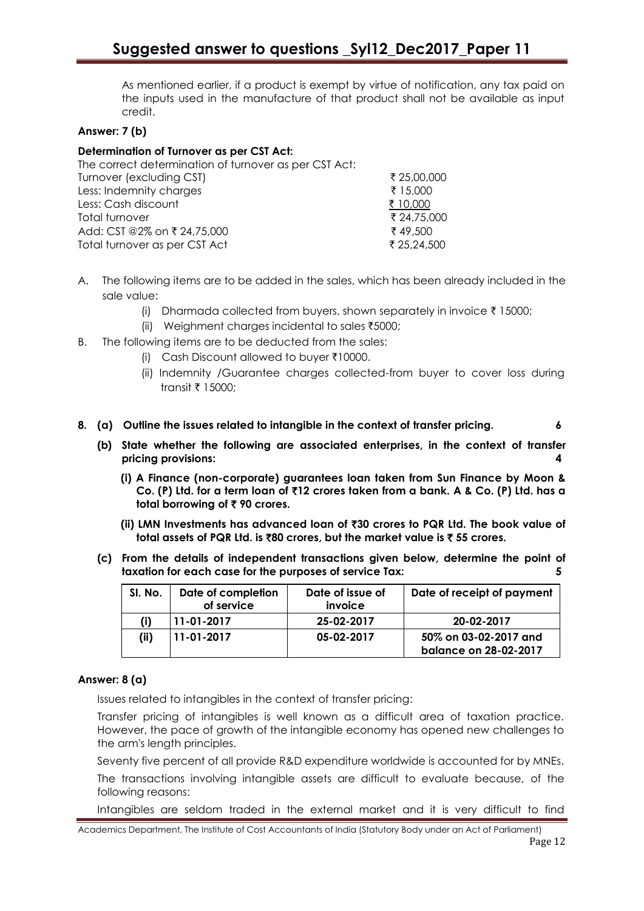As mentioned earlier, if a product is exempt by virtue of notification, any tax paid on the inputs used in the manufacture of that product shall not be available as input credit.

## **Answer: 7 (b)**

## **Determination of Turnover as per CST Act:**

| ₹ 25,00,000 |
|-------------|
| ₹ 15,000    |
| ₹ 10,000    |
| ₹ 24,75,000 |
| ₹49.500     |
| ₹ 25,24,500 |
|             |

- A. The following items are to be added in the sales, which has been already included in the sale value:
	- (i) Dharmada collected from buyers, shown separately in invoice  $\bar{\tau}$  15000;
	- (ii) Weighment charges incidental to sales  $\text{\textsterling}5000$ ;
- B. The following items are to be deducted from the sales:
	- (i) Cash Discount allowed to buyer  $\bar{x}$ 10000.
	- (ii) Indemnity /Guarantee charges collected-from buyer to cover loss during transit  $\bar{x}$  15000:
- **8. (a) Outline the issues related to intangible in the context of transfer pricing. 6**
	- **(b) State whether the following are associated enterprises, in the context of transfer pricing provisions: 4**
		- **(i) A Finance (non-corporate) guarantees loan taken from Sun Finance by Moon & Co. (P) Ltd. for a term loan of** `**12 crores taken from a bank. A & Co. (P) Ltd. has a total borrowing of ₹90 crores.**
		- **(ii) LMN Investments has advanced loan of** `**30 crores to PQR Ltd. The book value of total assets of PQR Ltd. is** `**80 crores, but the market value is** ` **55 crores.**
	- **(c) From the details of independent transactions given below, determine the point of taxation for each case for the purposes of service Tax: 5**

| SI. No. | Date of completion<br>of service | Date of issue of<br>invoice | Date of receipt of payment |
|---------|----------------------------------|-----------------------------|----------------------------|
| (i)     | 11-01-2017                       | 25-02-2017                  | 20-02-2017                 |
| (ii)    | 11-01-2017                       | 05-02-2017                  | 50% on 03-02-2017 and      |
|         |                                  |                             | balance on 28-02-2017      |

## **Answer: 8 (a)**

Issues related to intangibles in the context of transfer pricing:

Transfer pricing of intangibles is well known as a difficult area of taxation practice. However, the pace of growth of the intangible economy has opened new challenges to the arm's length principles.

Seventy five percent of all provide R&D expenditure worldwide is accounted for by MNEs.

The transactions involving intangible assets are difficult to evaluate because, of the following reasons:

Intangibles are seldom traded in the external market and it is very difficult to find